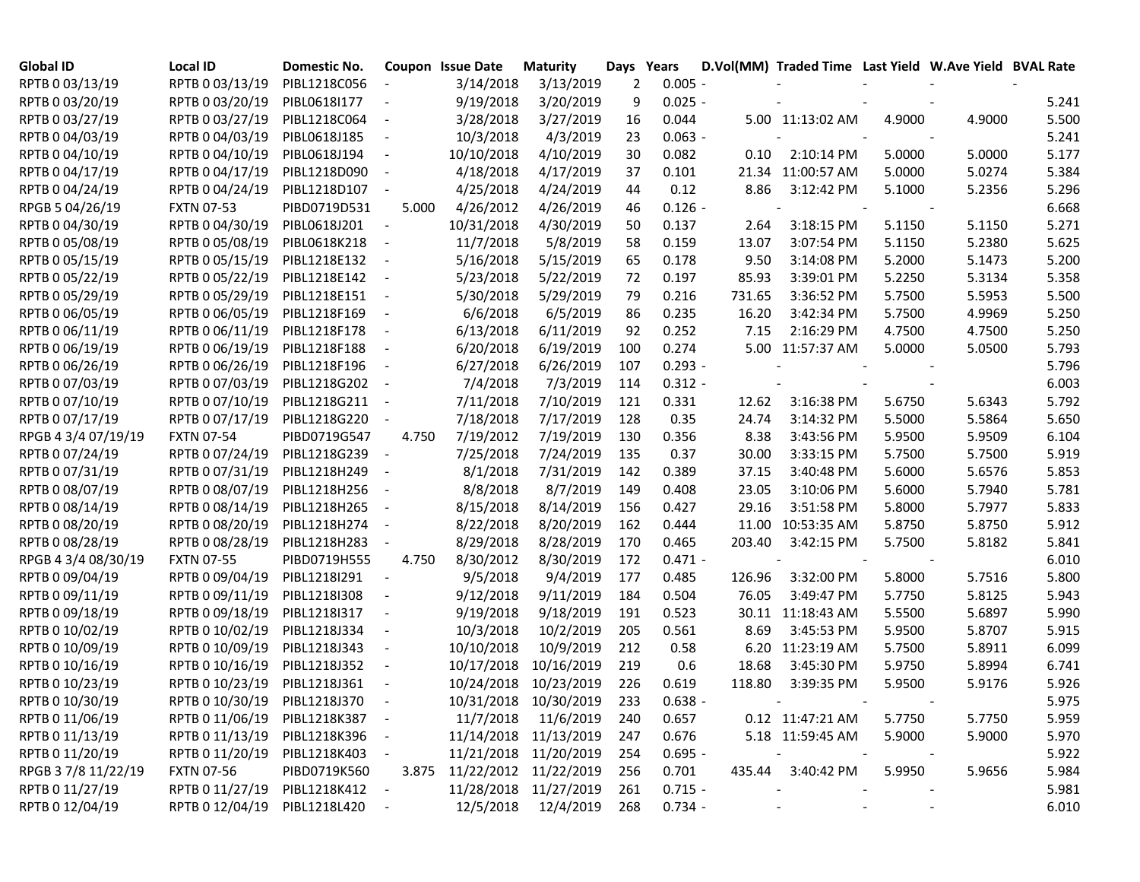| Global ID           | Local ID          | Domestic No.   |                          | <b>Coupon Issue Date</b>    | <b>Maturity</b>       | Days | Years     |        | D.Vol(MM) Traded Time Last Yield W.Ave Yield BVAL Rate |        |                          |       |
|---------------------|-------------------|----------------|--------------------------|-----------------------------|-----------------------|------|-----------|--------|--------------------------------------------------------|--------|--------------------------|-------|
| RPTB 0 03/13/19     | RPTB 0 03/13/19   | PIBL1218C056   | $\overline{\phantom{a}}$ | 3/14/2018                   | 3/13/2019             | 2    | $0.005 -$ |        |                                                        |        |                          |       |
| RPTB 0 03/20/19     | RPTB 0 03/20/19   | PIBL0618I177   |                          | 9/19/2018                   | 3/20/2019             | 9    | $0.025 -$ |        |                                                        |        |                          | 5.241 |
| RPTB 0 03/27/19     | RPTB 0 03/27/19   | PIBL1218C064   | $\blacksquare$           | 3/28/2018                   | 3/27/2019             | 16   | 0.044     |        | 5.00 11:13:02 AM                                       | 4.9000 | 4.9000                   | 5.500 |
| RPTB 0 04/03/19     | RPTB 0 04/03/19   | PIBL0618J185   | $\blacksquare$           | 10/3/2018                   | 4/3/2019              | 23   | $0.063 -$ |        |                                                        |        |                          | 5.241 |
| RPTB 0 04/10/19     | RPTB 0 04/10/19   | PIBL0618J194   | $\blacksquare$           | 10/10/2018                  | 4/10/2019             | 30   | 0.082     | 0.10   | 2:10:14 PM                                             | 5.0000 | 5.0000                   | 5.177 |
| RPTB 0 04/17/19     | RPTB 0 04/17/19   | PIBL1218D090   | $\overline{\phantom{a}}$ | 4/18/2018                   | 4/17/2019             | 37   | 0.101     |        | 21.34 11:00:57 AM                                      | 5.0000 | 5.0274                   | 5.384 |
| RPTB 0 04/24/19     | RPTB 0 04/24/19   | PIBL1218D107   | $\overline{\phantom{a}}$ | 4/25/2018                   | 4/24/2019             | 44   | 0.12      | 8.86   | 3:12:42 PM                                             | 5.1000 | 5.2356                   | 5.296 |
| RPGB 5 04/26/19     | <b>FXTN 07-53</b> | PIBD0719D531   | 5.000                    | 4/26/2012                   | 4/26/2019             | 46   | $0.126 -$ |        |                                                        |        |                          | 6.668 |
| RPTB 0 04/30/19     | RPTB 0 04/30/19   | PIBL0618J201   | $\blacksquare$           | 10/31/2018                  | 4/30/2019             | 50   | 0.137     | 2.64   | 3:18:15 PM                                             | 5.1150 | 5.1150                   | 5.271 |
| RPTB 0 05/08/19     | RPTB 0 05/08/19   | PIBL0618K218   | $\blacksquare$           | 11/7/2018                   | 5/8/2019              | 58   | 0.159     | 13.07  | 3:07:54 PM                                             | 5.1150 | 5.2380                   | 5.625 |
| RPTB 0 05/15/19     | RPTB 0 05/15/19   | PIBL1218E132   | $\overline{\phantom{a}}$ | 5/16/2018                   | 5/15/2019             | 65   | 0.178     | 9.50   | 3:14:08 PM                                             | 5.2000 | 5.1473                   | 5.200 |
| RPTB 0 05/22/19     | RPTB 0 05/22/19   | PIBL1218E142   | $\blacksquare$           | 5/23/2018                   | 5/22/2019             | 72   | 0.197     | 85.93  | 3:39:01 PM                                             | 5.2250 | 5.3134                   | 5.358 |
| RPTB 0 05/29/19     | RPTB 0 05/29/19   | PIBL1218E151   | $\overline{\phantom{a}}$ | 5/30/2018                   | 5/29/2019             | 79   | 0.216     | 731.65 | 3:36:52 PM                                             | 5.7500 | 5.5953                   | 5.500 |
| RPTB 0 06/05/19     | RPTB 0 06/05/19   | PIBL1218F169   | $\blacksquare$           | 6/6/2018                    | 6/5/2019              | 86   | 0.235     | 16.20  | 3:42:34 PM                                             | 5.7500 | 4.9969                   | 5.250 |
| RPTB 0 06/11/19     | RPTB 0 06/11/19   | PIBL1218F178   | $\equiv$                 | 6/13/2018                   | 6/11/2019             | 92   | 0.252     | 7.15   | 2:16:29 PM                                             | 4.7500 | 4.7500                   | 5.250 |
| RPTB 0 06/19/19     | RPTB 0 06/19/19   | PIBL1218F188   | $\overline{\phantom{a}}$ | 6/20/2018                   | 6/19/2019             | 100  | 0.274     |        | 5.00 11:57:37 AM                                       | 5.0000 | 5.0500                   | 5.793 |
| RPTB 0 06/26/19     | RPTB 0 06/26/19   | PIBL1218F196   | $\overline{\phantom{a}}$ | 6/27/2018                   | 6/26/2019             | 107  | $0.293 -$ |        |                                                        |        |                          | 5.796 |
| RPTB 0 07/03/19     | RPTB 0 07/03/19   | PIBL1218G202   | $\blacksquare$           | 7/4/2018                    | 7/3/2019              | 114  | $0.312 -$ |        |                                                        |        |                          | 6.003 |
| RPTB 0 07/10/19     | RPTB 0 07/10/19   | PIBL1218G211   | $\blacksquare$           | 7/11/2018                   | 7/10/2019             | 121  | 0.331     | 12.62  | 3:16:38 PM                                             | 5.6750 | 5.6343                   | 5.792 |
| RPTB 0 07/17/19     | RPTB 0 07/17/19   | PIBL1218G220   | $\sim$                   | 7/18/2018                   | 7/17/2019             | 128  | 0.35      | 24.74  | 3:14:32 PM                                             | 5.5000 | 5.5864                   | 5.650 |
| RPGB 4 3/4 07/19/19 | <b>FXTN 07-54</b> | PIBD0719G547   | 4.750                    | 7/19/2012                   | 7/19/2019             | 130  | 0.356     | 8.38   | 3:43:56 PM                                             | 5.9500 | 5.9509                   | 6.104 |
| RPTB 0 07/24/19     | RPTB 0 07/24/19   | PIBL1218G239   | $\overline{\phantom{a}}$ | 7/25/2018                   | 7/24/2019             | 135  | 0.37      | 30.00  | 3:33:15 PM                                             | 5.7500 | 5.7500                   | 5.919 |
| RPTB 0 07/31/19     | RPTB 0 07/31/19   | PIBL1218H249   | $\overline{\phantom{a}}$ | 8/1/2018                    | 7/31/2019             | 142  | 0.389     | 37.15  | 3:40:48 PM                                             | 5.6000 | 5.6576                   | 5.853 |
| RPTB 0 08/07/19     | RPTB 0 08/07/19   | PIBL1218H256   | $\overline{\phantom{a}}$ | 8/8/2018                    | 8/7/2019              | 149  | 0.408     | 23.05  | 3:10:06 PM                                             | 5.6000 | 5.7940                   | 5.781 |
| RPTB 0 08/14/19     | RPTB 0 08/14/19   | PIBL1218H265   | $\blacksquare$           | 8/15/2018                   | 8/14/2019             | 156  | 0.427     | 29.16  | 3:51:58 PM                                             | 5.8000 | 5.7977                   | 5.833 |
| RPTB 0 08/20/19     | RPTB 0 08/20/19   | PIBL1218H274   | $\overline{\phantom{a}}$ | 8/22/2018                   | 8/20/2019             | 162  | 0.444     | 11.00  | 10:53:35 AM                                            | 5.8750 | 5.8750                   | 5.912 |
| RPTB 0 08/28/19     | RPTB 0 08/28/19   | PIBL1218H283   | $\blacksquare$           | 8/29/2018                   | 8/28/2019             | 170  | 0.465     | 203.40 | 3:42:15 PM                                             | 5.7500 | 5.8182                   | 5.841 |
| RPGB 4 3/4 08/30/19 | <b>FXTN 07-55</b> | PIBD0719H555   | 4.750                    | 8/30/2012                   | 8/30/2019             | 172  | $0.471 -$ |        |                                                        |        |                          | 6.010 |
| RPTB 0 09/04/19     | RPTB 0 09/04/19   | PIBL1218I291   | $\overline{\phantom{a}}$ | 9/5/2018                    | 9/4/2019              | 177  | 0.485     | 126.96 | 3:32:00 PM                                             | 5.8000 | 5.7516                   | 5.800 |
| RPTB 0 09/11/19     | RPTB 0 09/11/19   | PIBL1218I308   | $\blacksquare$           | 9/12/2018                   | 9/11/2019             | 184  | 0.504     | 76.05  | 3:49:47 PM                                             | 5.7750 | 5.8125                   | 5.943 |
| RPTB 0 09/18/19     | RPTB 0 09/18/19   | PIBL1218I317   | $\blacksquare$           | 9/19/2018                   | 9/18/2019             | 191  | 0.523     | 30.11  | 11:18:43 AM                                            | 5.5500 | 5.6897                   | 5.990 |
| RPTB 0 10/02/19     | RPTB 0 10/02/19   | PIBL1218J334   | $\blacksquare$           | 10/3/2018                   | 10/2/2019             | 205  | 0.561     | 8.69   | 3:45:53 PM                                             | 5.9500 | 5.8707                   | 5.915 |
| RPTB 0 10/09/19     | RPTB 0 10/09/19   | PIBL1218J343   | $\blacksquare$           | 10/10/2018                  | 10/9/2019             | 212  | 0.58      |        | 6.20 11:23:19 AM                                       | 5.7500 | 5.8911                   | 6.099 |
| RPTB 0 10/16/19     | RPTB 0 10/16/19   | PIBL1218J352   | $\blacksquare$           | 10/17/2018                  | 10/16/2019            | 219  | 0.6       | 18.68  | 3:45:30 PM                                             | 5.9750 | 5.8994                   | 6.741 |
| RPTB 0 10/23/19     | RPTB 0 10/23/19   | PIBL1218J361   |                          |                             | 10/24/2018 10/23/2019 | 226  | 0.619     | 118.80 | 3:39:35 PM                                             | 5.9500 | 5.9176                   | 5.926 |
| RPTB 0 10/30/19     | RPTB 0 10/30/19   | PIBL1218J370   |                          |                             | 10/31/2018 10/30/2019 | 233  | $0.638 -$ |        |                                                        |        |                          | 5.975 |
| RPTB 0 11/06/19     | RPTB 0 11/06/19   | PIBL1218K387 - |                          | 11/7/2018                   | 11/6/2019             | 240  | 0.657     |        | 0.12 11:47:21 AM                                       | 5.7750 | 5.7750                   | 5.959 |
| RPTB 0 11/13/19     | RPTB 0 11/13/19   | PIBL1218K396   | $\overline{\phantom{a}}$ |                             | 11/14/2018 11/13/2019 | 247  | 0.676     |        | 5.18 11:59:45 AM                                       | 5.9000 | 5.9000                   | 5.970 |
| RPTB 0 11/20/19     | RPTB 0 11/20/19   | PIBL1218K403   | $\overline{\phantom{a}}$ |                             | 11/21/2018 11/20/2019 | 254  | $0.695 -$ |        | $\blacksquare$                                         |        |                          | 5.922 |
| RPGB 37/8 11/22/19  | <b>FXTN 07-56</b> | PIBD0719K560   |                          | 3.875 11/22/2012 11/22/2019 |                       | 256  | 0.701     | 435.44 | 3:40:42 PM                                             | 5.9950 | 5.9656                   | 5.984 |
| RPTB 0 11/27/19     | RPTB 0 11/27/19   | PIBL1218K412   | $\equiv$                 |                             | 11/28/2018 11/27/2019 | 261  | $0.715 -$ |        |                                                        |        |                          | 5.981 |
| RPTB 0 12/04/19     | RPTB 0 12/04/19   | PIBL1218L420   | $\sim$                   | 12/5/2018                   | 12/4/2019             | 268  | $0.734 -$ |        |                                                        |        | $\overline{\phantom{a}}$ | 6.010 |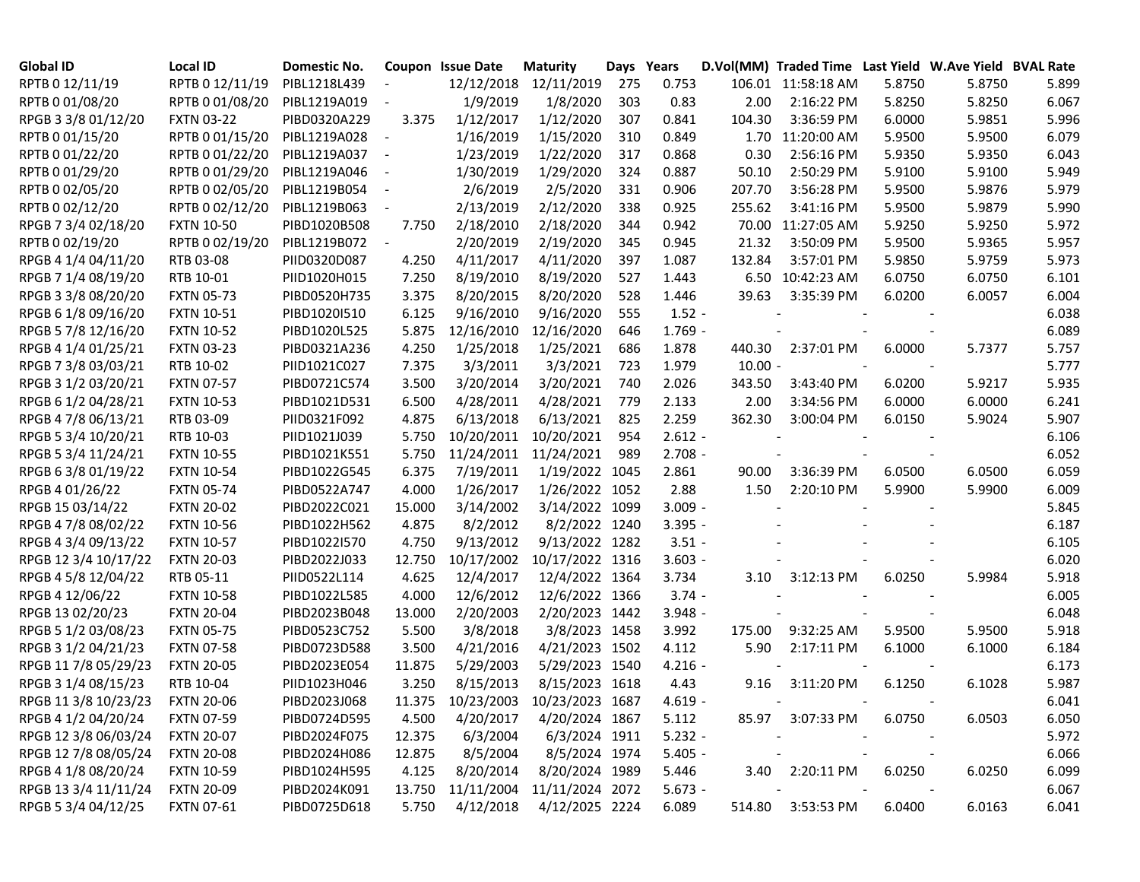| Global ID            | Local ID          | Domestic No. |                          | Coupon Issue Date | <b>Maturity</b>            | Days Years |           |           | D.Vol(MM) Traded Time Last Yield W.Ave Yield BVAL Rate |        |        |       |
|----------------------|-------------------|--------------|--------------------------|-------------------|----------------------------|------------|-----------|-----------|--------------------------------------------------------|--------|--------|-------|
| RPTB 0 12/11/19      | RPTB 0 12/11/19   | PIBL1218L439 |                          |                   | 12/12/2018 12/11/2019      | 275        | 0.753     |           | 106.01 11:58:18 AM                                     | 5.8750 | 5.8750 | 5.899 |
| RPTB 0 01/08/20      | RPTB 0 01/08/20   | PIBL1219A019 | $\overline{\phantom{a}}$ | 1/9/2019          | 1/8/2020                   | 303        | 0.83      | 2.00      | 2:16:22 PM                                             | 5.8250 | 5.8250 | 6.067 |
| RPGB 3 3/8 01/12/20  | <b>FXTN 03-22</b> | PIBD0320A229 | 3.375                    | 1/12/2017         | 1/12/2020                  | 307        | 0.841     | 104.30    | 3:36:59 PM                                             | 6.0000 | 5.9851 | 5.996 |
| RPTB 0 01/15/20      | RPTB 0 01/15/20   | PIBL1219A028 | $\overline{\phantom{a}}$ | 1/16/2019         | 1/15/2020                  | 310        | 0.849     |           | 1.70 11:20:00 AM                                       | 5.9500 | 5.9500 | 6.079 |
| RPTB 0 01/22/20      | RPTB 0 01/22/20   | PIBL1219A037 | $\overline{\phantom{a}}$ | 1/23/2019         | 1/22/2020                  | 317        | 0.868     | 0.30      | 2:56:16 PM                                             | 5.9350 | 5.9350 | 6.043 |
| RPTB 0 01/29/20      | RPTB 0 01/29/20   | PIBL1219A046 | $\blacksquare$           | 1/30/2019         | 1/29/2020                  | 324        | 0.887     | 50.10     | 2:50:29 PM                                             | 5.9100 | 5.9100 | 5.949 |
| RPTB 0 02/05/20      | RPTB 0 02/05/20   | PIBL1219B054 | $\overline{\phantom{a}}$ | 2/6/2019          | 2/5/2020                   | 331        | 0.906     | 207.70    | 3:56:28 PM                                             | 5.9500 | 5.9876 | 5.979 |
| RPTB 0 02/12/20      | RPTB 0 02/12/20   | PIBL1219B063 | $\overline{\phantom{a}}$ | 2/13/2019         | 2/12/2020                  | 338        | 0.925     | 255.62    | 3:41:16 PM                                             | 5.9500 | 5.9879 | 5.990 |
| RPGB 7 3/4 02/18/20  | <b>FXTN 10-50</b> | PIBD1020B508 | 7.750                    | 2/18/2010         | 2/18/2020                  | 344        | 0.942     |           | 70.00 11:27:05 AM                                      | 5.9250 | 5.9250 | 5.972 |
| RPTB 0 02/19/20      | RPTB 0 02/19/20   | PIBL1219B072 | $\overline{\phantom{a}}$ | 2/20/2019         | 2/19/2020                  | 345        | 0.945     | 21.32     | 3:50:09 PM                                             | 5.9500 | 5.9365 | 5.957 |
| RPGB 4 1/4 04/11/20  | RTB 03-08         | PIID0320D087 | 4.250                    | 4/11/2017         | 4/11/2020                  | 397        | 1.087     | 132.84    | 3:57:01 PM                                             | 5.9850 | 5.9759 | 5.973 |
| RPGB 7 1/4 08/19/20  | RTB 10-01         | PIID1020H015 | 7.250                    | 8/19/2010         | 8/19/2020                  | 527        | 1.443     |           | 6.50 10:42:23 AM                                       | 6.0750 | 6.0750 | 6.101 |
| RPGB 3 3/8 08/20/20  | <b>FXTN 05-73</b> | PIBD0520H735 | 3.375                    | 8/20/2015         | 8/20/2020                  | 528        | 1.446     | 39.63     | 3:35:39 PM                                             | 6.0200 | 6.0057 | 6.004 |
| RPGB 6 1/8 09/16/20  | <b>FXTN 10-51</b> | PIBD1020I510 | 6.125                    | 9/16/2010         | 9/16/2020                  | 555        | $1.52 -$  |           |                                                        |        |        | 6.038 |
| RPGB 5 7/8 12/16/20  | <b>FXTN 10-52</b> | PIBD1020L525 | 5.875                    | 12/16/2010        | 12/16/2020                 | 646        | $1.769 -$ |           |                                                        |        |        | 6.089 |
| RPGB 4 1/4 01/25/21  | <b>FXTN 03-23</b> | PIBD0321A236 | 4.250                    | 1/25/2018         | 1/25/2021                  | 686        | 1.878     | 440.30    | 2:37:01 PM                                             | 6.0000 | 5.7377 | 5.757 |
| RPGB 7 3/8 03/03/21  | RTB 10-02         | PIID1021C027 | 7.375                    | 3/3/2011          | 3/3/2021                   | 723        | 1.979     | $10.00 -$ |                                                        |        |        | 5.777 |
| RPGB 3 1/2 03/20/21  | <b>FXTN 07-57</b> | PIBD0721C574 | 3.500                    | 3/20/2014         | 3/20/2021                  | 740        | 2.026     | 343.50    | 3:43:40 PM                                             | 6.0200 | 5.9217 | 5.935 |
| RPGB 6 1/2 04/28/21  | <b>FXTN 10-53</b> | PIBD1021D531 | 6.500                    | 4/28/2011         | 4/28/2021                  | 779        | 2.133     | 2.00      | 3:34:56 PM                                             | 6.0000 | 6.0000 | 6.241 |
| RPGB 4 7/8 06/13/21  | RTB 03-09         | PIID0321F092 | 4.875                    | 6/13/2018         | 6/13/2021                  | 825        | 2.259     | 362.30    | 3:00:04 PM                                             | 6.0150 | 5.9024 | 5.907 |
| RPGB 5 3/4 10/20/21  | RTB 10-03         | PIID1021J039 | 5.750                    | 10/20/2011        | 10/20/2021                 | 954        | $2.612 -$ |           |                                                        |        |        | 6.106 |
| RPGB 5 3/4 11/24/21  | <b>FXTN 10-55</b> | PIBD1021K551 | 5.750                    | 11/24/2011        | 11/24/2021                 | 989        | $2.708 -$ |           |                                                        |        |        | 6.052 |
| RPGB 63/801/19/22    | <b>FXTN 10-54</b> | PIBD1022G545 | 6.375                    | 7/19/2011         | 1/19/2022 1045             |            | 2.861     | 90.00     | 3:36:39 PM                                             | 6.0500 | 6.0500 | 6.059 |
| RPGB 4 01/26/22      | <b>FXTN 05-74</b> | PIBD0522A747 | 4.000                    | 1/26/2017         | 1/26/2022 1052             |            | 2.88      | 1.50      | 2:20:10 PM                                             | 5.9900 | 5.9900 | 6.009 |
| RPGB 15 03/14/22     | <b>FXTN 20-02</b> | PIBD2022C021 | 15.000                   | 3/14/2002         | 3/14/2022 1099             |            | $3.009 -$ |           |                                                        |        |        | 5.845 |
| RPGB 4 7/8 08/02/22  | <b>FXTN 10-56</b> | PIBD1022H562 | 4.875                    | 8/2/2012          | 8/2/2022 1240              |            | $3.395 -$ |           |                                                        |        |        | 6.187 |
| RPGB 4 3/4 09/13/22  | <b>FXTN 10-57</b> | PIBD1022I570 | 4.750                    | 9/13/2012         | 9/13/2022 1282             |            | $3.51 -$  |           |                                                        |        |        | 6.105 |
| RPGB 12 3/4 10/17/22 | <b>FXTN 20-03</b> | PIBD2022J033 | 12.750                   | 10/17/2002        | 10/17/2022 1316            |            | $3.603 -$ |           |                                                        |        |        | 6.020 |
| RPGB 4 5/8 12/04/22  | RTB 05-11         | PIID0522L114 | 4.625                    | 12/4/2017         | 12/4/2022 1364             |            | 3.734     | 3.10      | 3:12:13 PM                                             | 6.0250 | 5.9984 | 5.918 |
| RPGB 4 12/06/22      | <b>FXTN 10-58</b> | PIBD1022L585 | 4.000                    | 12/6/2012         | 12/6/2022 1366             |            | $3.74 -$  |           |                                                        |        |        | 6.005 |
| RPGB 13 02/20/23     | <b>FXTN 20-04</b> | PIBD2023B048 | 13.000                   | 2/20/2003         | 2/20/2023 1442             |            | $3.948 -$ |           |                                                        |        |        | 6.048 |
| RPGB 5 1/2 03/08/23  | <b>FXTN 05-75</b> | PIBD0523C752 | 5.500                    | 3/8/2018          | 3/8/2023 1458              |            | 3.992     | 175.00    | 9:32:25 AM                                             | 5.9500 | 5.9500 | 5.918 |
| RPGB 3 1/2 04/21/23  | <b>FXTN 07-58</b> | PIBD0723D588 | 3.500                    | 4/21/2016         | 4/21/2023 1502             |            | 4.112     | 5.90      | 2:17:11 PM                                             | 6.1000 | 6.1000 | 6.184 |
| RPGB 11 7/8 05/29/23 | <b>FXTN 20-05</b> | PIBD2023E054 | 11.875                   | 5/29/2003         | 5/29/2023 1540             |            | $4.216 -$ |           |                                                        |        |        | 6.173 |
| RPGB 3 1/4 08/15/23  | RTB 10-04         | PIID1023H046 | 3.250                    | 8/15/2013         | 8/15/2023 1618             |            | 4.43      | 9.16      | 3:11:20 PM                                             | 6.1250 | 6.1028 | 5.987 |
| RPGB 11 3/8 10/23/23 | <b>FXTN 20-06</b> | PIBD2023J068 | 11.375                   | 10/23/2003        | 10/23/2023 1687            |            | $4.619 -$ |           |                                                        |        |        | 6.041 |
| RPGB 4 1/2 04/20/24  | <b>FXTN 07-59</b> | PIBD0724D595 | 4.500                    | 4/20/2017         | 4/20/2024 1867             |            | 5.112     |           | 85.97 3:07:33 PM                                       | 6.0750 | 6.0503 | 6.050 |
| RPGB 12 3/8 06/03/24 | <b>FXTN 20-07</b> | PIBD2024F075 | 12.375                   | 6/3/2004          | 6/3/2024 1911              |            | $5.232 -$ |           |                                                        |        |        | 5.972 |
| RPGB 12 7/8 08/05/24 | <b>FXTN 20-08</b> | PIBD2024H086 | 12.875                   | 8/5/2004          | 8/5/2024 1974              |            | $5.405 -$ |           |                                                        |        |        | 6.066 |
| RPGB 4 1/8 08/20/24  | <b>FXTN 10-59</b> | PIBD1024H595 | 4.125                    | 8/20/2014         | 8/20/2024 1989             |            | 5.446     |           | 3.40 2:20:11 PM                                        | 6.0250 | 6.0250 | 6.099 |
| RPGB 13 3/4 11/11/24 | <b>FXTN 20-09</b> | PIBD2024K091 | 13.750                   |                   | 11/11/2004 11/11/2024 2072 |            | $5.673 -$ |           |                                                        |        |        | 6.067 |
| RPGB 5 3/4 04/12/25  | <b>FXTN 07-61</b> | PIBD0725D618 | 5.750                    | 4/12/2018         | 4/12/2025 2224             |            | 6.089     |           | 514.80 3:53:53 PM                                      | 6.0400 | 6.0163 | 6.041 |
|                      |                   |              |                          |                   |                            |            |           |           |                                                        |        |        |       |